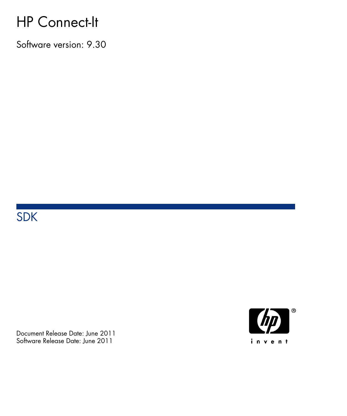# HP Connect-It

Software version: 9.30



Document Release Date: June 2011 Software Release Date: June 2011

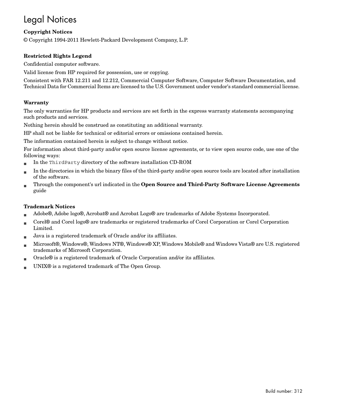# Legal Notices

#### **Copyright Notices**

© Copyright 1994-2011 Hewlett-Packard Development Company, L.P.

#### **Restricted Rights Legend**

Confidential computer software.

Valid license from HP required for possession, use or copying.

Consistent with FAR 12.211 and 12.212, Commercial Computer Software, Computer Software Documentation, and Technical Data for Commercial Items are licensed to the U.S. Government under vendor's standard commercial license.

#### **Warranty**

The only warranties for HP products and services are set forth in the express warranty statements accompanying such products and services.

Nothing herein should be construed as constituting an additional warranty.

HP shall not be liable for technical or editorial errors or omissions contained herein.

The information contained herein is subject to change without notice.

For information about third-party and/or open source license agreements, or to view open source code, use one of the following ways:

- <sup>n</sup> In the ThirdParty directory of the software installation CD-ROM
- n In the directories in which the binary files of the third-party and/or open source tools are located after installation of the software.
- n Through the component's url indicated in the **Open Source and Third-Party Software License Agreements** guide

#### **Trademark Notices**

- n Adobe®, Adobe logo®, Acrobat® and Acrobat Logo® are trademarks of Adobe Systems Incorporated.
- n Corel® and Corel logo® are trademarks or registered trademarks of Corel Corporation or Corel Corporation Limited.
- Java is a registered trademark of Oracle and/or its affiliates.
- n Microsoft®, Windows®, Windows NT®, Windows® XP, Windows Mobile® and Windows Vista® are U.S. registered trademarks of Microsoft Corporation.
- Oracle® is a registered trademark of Oracle Corporation and/or its affiliates.
- UNIX<sup>®</sup> is a registered trademark of The Open Group.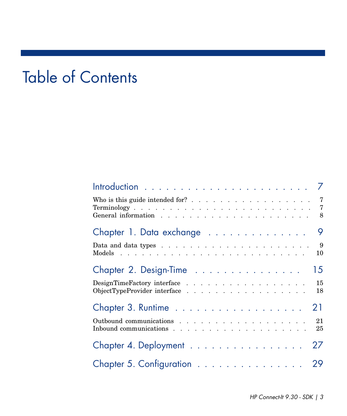# Table of Contents

| Chapter 1. Data exchange 9                                                |  |
|---------------------------------------------------------------------------|--|
|                                                                           |  |
| Chapter 2. Design-Time 15                                                 |  |
|                                                                           |  |
| Chapter 3. Runtime 21                                                     |  |
| Outbound communications $\ldots$ 21<br>Inbound communications $\ldots$ 25 |  |
| Chapter 4. Deployment 27                                                  |  |
| Chapter 5. Configuration 29                                               |  |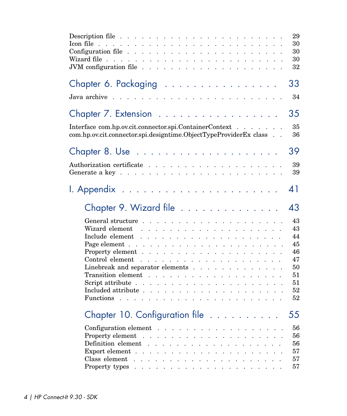| Icon file.<br>and a construction of the construction of the construction of the construction of the construction of the construction of the construction of the construction of the construction of the construction of the construction of | 29<br>30<br>30<br>30<br>32                                     |
|---------------------------------------------------------------------------------------------------------------------------------------------------------------------------------------------------------------------------------------------|----------------------------------------------------------------|
| Chapter 6. Packaging                                                                                                                                                                                                                        | 33                                                             |
|                                                                                                                                                                                                                                             | 34                                                             |
| Chapter 7. Extension                                                                                                                                                                                                                        | 35                                                             |
| Interface com.hp.ov.cit.connector.spi.ContainerContext<br>com.hp.ov.cit.connector.spi.designtime.ObjectTypeProviderEx class                                                                                                                 | 35<br>36                                                       |
|                                                                                                                                                                                                                                             | 39                                                             |
|                                                                                                                                                                                                                                             | 39<br>39                                                       |
|                                                                                                                                                                                                                                             | 41                                                             |
| Chapter 9. Wizard file                                                                                                                                                                                                                      | 43                                                             |
| Linebreak and separator elements $\ldots$                                                                                                                                                                                                   | 43<br>43<br>44<br>45<br>46<br>47<br>50<br>51<br>51<br>52<br>52 |
| Chapter 10. Configuration file                                                                                                                                                                                                              | 55                                                             |
| Configuration element<br>Property element<br>Definition element<br>Export element<br>Class element<br>Property types.<br>$\mathbf{r}$ , and $\mathbf{r}$ , and $\mathbf{r}$ , and $\mathbf{r}$                                              | 56<br>56<br>56<br>57<br>57<br>57                               |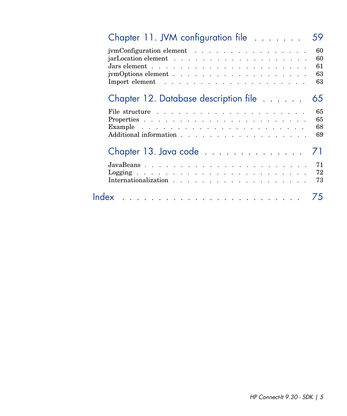| Chapter 11. JVM configuration file $\ldots$ | 59                         |
|---------------------------------------------|----------------------------|
| jvmConfiguration element                    | 60<br>60<br>61<br>63<br>63 |
| Chapter 12. Database description file       | 65                         |
|                                             | 65<br>65<br>68<br>69       |
| Chapter 13. Java code                       | 71                         |
|                                             | 71<br>72<br>73             |
| Index                                       | 75                         |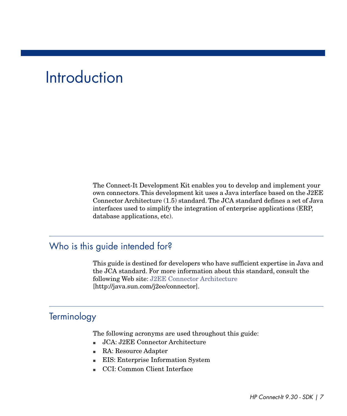# **Introduction**

<span id="page-6-1"></span><span id="page-6-0"></span>The Connect-It Development Kit enables you to develop and implement your own connectors. This development kit uses a Java interface based on the J2EE Connector Architecture (1.5) standard. The JCA standard defines a set of Java interfaces used to simplify the integration of enterprise applications (ERP, database applications, etc).

## Who is this guide intended for?

<span id="page-6-2"></span>This guide is destined for developers who have sufficient expertise in Java and the JCA standard. For more information about this standard, consult the following Web site: [J2EE Connector Architecture](http://java.sun.com/j2ee/connector) [http://java.sun.com/j2ee/connector].

## **Terminology**

The following acronyms are used throughout this guide:

- <sup>n</sup> JCA: J2EE Connector Architecture
- RA: Resource Adapter
- EIS: Enterprise Information System
- <sup>n</sup> CCI: Common Client Interface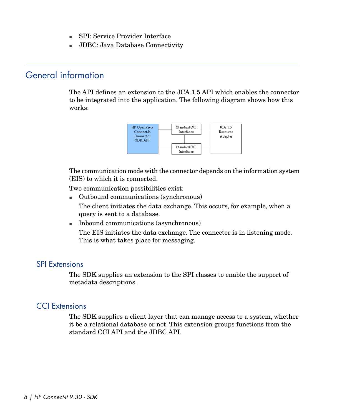- <sup>n</sup> SPI: Service Provider Interface
- <span id="page-7-0"></span>**JDBC: Java Database Connectivity**

# General information

The API defines an extension to the JCA 1.5 API which enables the connector to be integrated into the application. The following diagram shows how this works:



The communication mode with the connector depends on the information system (EIS) to which it is connected.

Two communication possibilities exist:

<sup>n</sup> Outbound communications (synchronous)

The client initiates the data exchange. This occurs, for example, when a query is sent to a database.

■ Inbound communications (asynchronous)

The EIS initiates the data exchange. The connector is in listening mode. This is what takes place for messaging.

### SPI Extensions

The SDK supplies an extension to the SPI classes to enable the support of metadata descriptions.

#### CCI Extensions

The SDK supplies a client layer that can manage access to a system, whether it be a relational database or not. This extension groups functions from the standard CCI API and the JDBC API.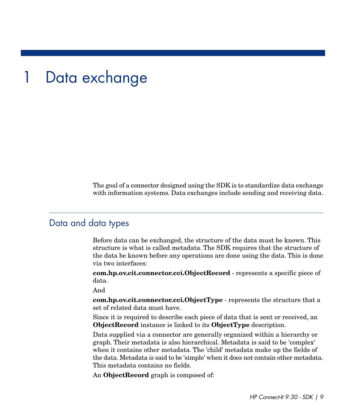# 1 Data exchange

<span id="page-8-1"></span><span id="page-8-0"></span>The goal of a connector designed using the SDK is to standardize data exchange with information systems. Data exchanges include sending and receiving data.

## Data and data types

Before data can be exchanged, the structure of the data must be known. This structure is what is called metadata. The SDK requires that the structure of the data be known before any operations are done using the data. This is done via two interfaces:

**com.hp.ov.cit.connector.cci.ObjectRecord** - represents a specific piece of data.

And

**com.hp.ov.cit.connector.cci.ObjectType** - represents the structure that a set of related data must have.

Since it is required to describe each piece of data that is sent or received, an **ObjectRecord** instance is linked to its **ObjectType** description.

Data supplied via a connector are generally organized within a hierarchy or graph. Their metadata is also hierarchical. Metadata is said to be 'complex' when it contains other metadata. The 'child' metadata make up the fields of the data. Metadata is said to be 'simple' when it does not contain other metadata. This metadata contains no fields.

An **ObjectRecord** graph is composed of: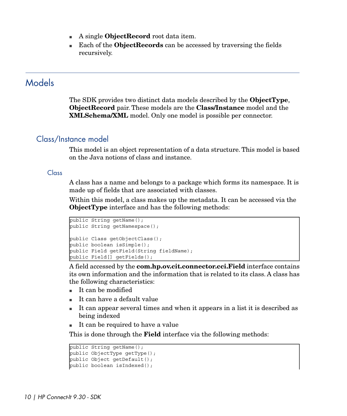- **n** A single **ObjectRecord** root data item.
- <span id="page-9-0"></span><sup>n</sup> Each of the **ObjectRecords** can be accessed by traversing the fields recursively.

## **Models**

The SDK provides two distinct data models described by the **ObjectType**, **ObjectRecord** pair. These models are the **Class/Instance** model and the **XMLSchema/XML** model. Only one model is possible per connector.

### Class/Instance model

This model is an object representation of a data structure. This model is based on the Java notions of class and instance.

#### Class

A class has a name and belongs to a package which forms its namespace. It is made up of fields that are associated with classes.

Within this model, a class makes up the metadata. It can be accessed via the **ObjectType** interface and has the following methods:

```
public String getName();
public String getNamespace();
public Class getObjectClass();
public boolean isSimple();
public Field getField(String fieldName);
public Field[] getFields();
```
A field accessed by the **com.hp.ov.cit.connector.cci.Field** interface contains its own information and the information that is related to its class. A class has the following characteristics:

- $\blacksquare$  It can be modified
- $\blacksquare$  It can have a default value
- <sup>n</sup> It can appear several times and when it appears in a list it is described as being indexed
- It can be required to have a value

This is done through the **Field** interface via the following methods:

```
public String getName();
public ObjectType getType();
public Object getDefault();
public boolean isIndexed();
```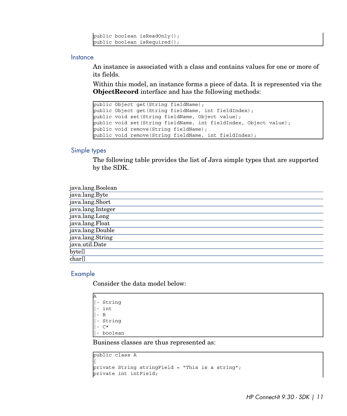```
public boolean isReadOnly();
public boolean isRequired();
```
#### Instance

An instance is associated with a class and contains values for one or more of its fields.

Within this model, an instance forms a piece of data. It is represented via the **ObjectRecord** interface and has the following methods:

```
public Object get(String fieldName);
public Object get(String fieldName, int fieldIndex);
public void set(String fieldName, Object value);
public void set(String fieldName, int fieldIndex, Object value);
public void remove(String fieldName);
public void remove(String fieldName, int fieldIndex);
```
#### Simple types

The following table provides the list of Java simple types that are supported by the SDK.

| java.lang.Boolean |  |
|-------------------|--|
| java.lang.Byte    |  |
| java.lang.Short   |  |
| java.lang.Integer |  |
| java.lang.Long    |  |
| java.lang.Float   |  |
| java.lang.Double  |  |
| java.lang.String  |  |
| java.util.Date    |  |
| byte[]            |  |
| char∏             |  |

#### Example

Consider the data model below:

| - String |
|----------|
| l- int   |
| B        |
| - String |
| $C^*$    |
| boolean  |

Business classes are thus represented as:

```
public class A
{
private String stringField = "This is a string";
private int intField;
```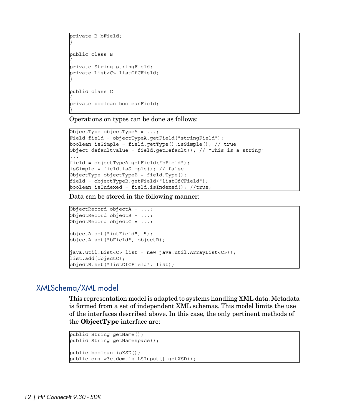```
private B bField;
}
public class B
{
private String stringField;
private List<C> listOfCField;
}
public class C
{
private boolean booleanField;
}
```
Operations on types can be done as follows:

```
ObjectType objectTypeA = ...;Field field = objectTypeA.getField("stringField");
boolean isSimple = field.getType().isSimple(); // true
Object defaultValue = field.getDefault(); // "This is a string"
...
field = objectTypeA.getField("bField");
lissimple = field.isSimple(); // false
ObjectType objectTypeB = fieldType();
field = objectTypeB.getField("listOfCField");
boolean isIndexed = field.isIndexed(); //true;
```
Data can be stored in the following manner:

```
ObjectRecord objectA = \ldots;
\phibjectRecord objectB = \dots;
ObjectRecord objectC = \ldots;
objectA.set("intField", 5);
objectA.set("bField", objectB);
\frac{1}{2}java.util.List<C> list = new java.util.ArrayList<C>();
list.add(objectC);
objectB.set("listOfCField", list);
```
### XMLSchema/XML model

This representation model is adapted to systems handling XML data. Metadata is formed from a set of independent XML schemas. This model limits the use of the interfaces described above. In this case, the only pertinent methods of the **ObjectType** interface are:

```
public String getName();
public String getNamespace();
public boolean isXSD();
public org.w3c.dom.ls.LSInput[] getXSD();
```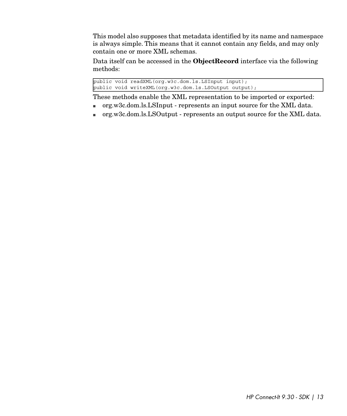This model also supposes that metadata identified by its name and namespace is always simple. This means that it cannot contain any fields, and may only contain one or more XML schemas.

Data itself can be accessed in the **ObjectRecord** interface via the following methods:

public void readXML(org.w3c.dom.ls.LSInput input); public void writeXML(org.w3c.dom.ls.LSOutput output);

These methods enable the XML representation to be imported or exported:

- <sup>n</sup> org.w3c.dom.ls.LSInput represents an input source for the XML data.
- <sup>n</sup> org.w3c.dom.ls.LSOutput represents an output source for the XML data.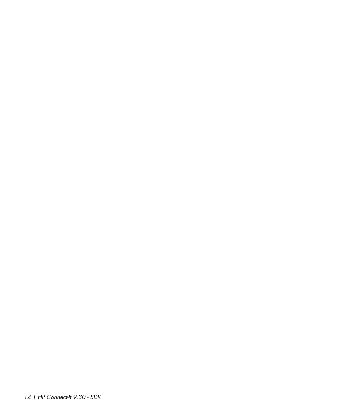*14 | HP Connect-It 9.30 - SDK*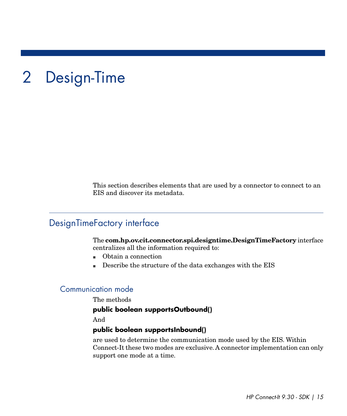# 2 Design-Time

<span id="page-14-1"></span><span id="page-14-0"></span>This section describes elements that are used by a connector to connect to an EIS and discover its metadata.

## DesignTimeFactory interface

The **com.hp.ov.cit.connector.spi.designtime.DesignTimeFactory** interface centralizes all the information required to:

- Obtain a connection
- <sup>n</sup> Describe the structure of the data exchanges with the EIS

#### Communication mode

#### The methods

#### **public boolean supportsOutbound()**

And

#### **public boolean supportsInbound()**

are used to determine the communication mode used by the EIS. Within Connect-It these two modes are exclusive.A connector implementation can only support one mode at a time.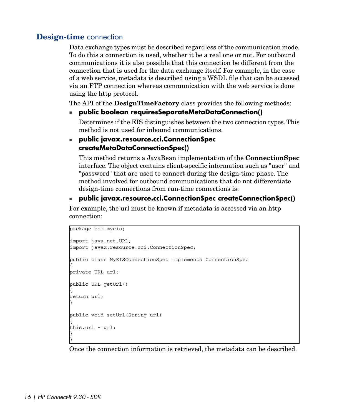### **Design-time** connection

Data exchange types must be described regardless of the communication mode. To do this a connection is used, whether it be a real one or not. For outbound communications it is also possible that this connection be different from the connection that is used for the data exchange itself. For example, in the case of a web service, metadata is described using a WSDL file that can be accessed via an FTP connection whereas communication with the web service is done using the http protocol.

The API of the **DesignTimeFactory** class provides the following methods:

#### <sup>n</sup> **public boolean requiresSeparateMetaDataConnection()**

Determines if the EIS distinguishes between the two connection types. This method is not used for inbound communications.

#### <sup>n</sup> **public javax.resource.cci.ConnectionSpec createMetaDataConnectionSpec()**

This method returns a JavaBean implementation of the **ConnectionSpec** interface. The object contains client-specific information such as "user" and "password" that are used to connect during the design-time phase. The method involved for outbound communications that do not differentiate design-time connections from run-time connections is:

#### <sup>n</sup> **public javax.resource.cci.ConnectionSpec createConnectionSpec()**

For example, the url must be known if metadata is accessed via an http connection:

```
package com.myeis;
import java.net.URL;
import javax.resource.cci.ConnectionSpec;
public class MyEISConnectionSpec implements ConnectionSpec
{
private URL url;
public URL getUrl()
{
return url;
}
public void setUrl(String url)
{
this.url = url;
}
}
```
Once the connection information is retrieved, the metadata can be described.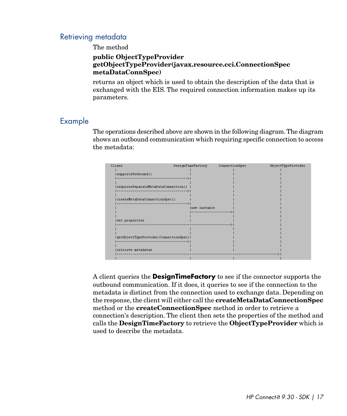#### Retrieving metadata

The method

#### **public ObjectTypeProvider getObjectTypeProvider(javax.resource.cci.ConnectionSpec metaDataConnSpec)**

returns an object which is used to obtain the description of the data that is exchanged with the EIS. The required connection information makes up its parameters.

### Example

The operations described above are shown in the following diagram.The diagram shows an outbound communication which requiring specific connection to access the metadata:



A client queries the **DesignTimeFactory** to see if the connector supports the outbound communication. If it does, it queries to see if the connection to the metadata is distinct from the connection used to exchange data. Depending on the response, the client will either call the **createMetaDataConnectionSpec** method or the **createConnectionSpec** method in order to retrieve a connection's description. The client then sets the properties of the method and calls the **DesignTimeFactory** to retrieve the **ObjectTypeProvider** which is used to describe the metadata.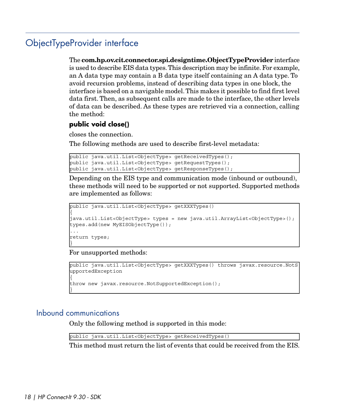# ObjectTypeProvider interface

<span id="page-17-0"></span>The **com.hp.ov.cit.connector.spi.designtime.ObjectTypeProvider** interface is used to describe EIS data types.This description may be infinite. For example, an A data type may contain a B data type itself containing an A data type. To avoid recursion problems, instead of describing data types in one block, the interface is based on a navigable model.This makes it possible to find first level data first. Then, as subsequent calls are made to the interface, the other levels of data can be described. As these types are retrieved via a connection, calling the method:

#### **public void close()**

closes the connection.

The following methods are used to describe first-level metadata:

```
public java.util.List<ObjectType> getReceivedTypes();
public java.util.List<ObjectType> getRequestTypes();
public java.util.List<ObjectType> getResponseTypes();
```
Depending on the EIS type and communication mode (inbound or outbound), these methods will need to be supported or not supported. Supported methods are implemented as follows:

```
public java.util.List<ObjectType> getXXXTypes()
{
java.util.List<ObjectType> types = new java.util.ArrayList<ObjectType>();
types.add(new MyEISObjectType());
...
return types;
}
```
For unsupported methods:

public java.util.List<ObjectType> getXXXTypes() throws javax.resource.NotS upportedException {

throw new javax.resource.NotSupportedException();

### Inbound communications

}

Only the following method is supported in this mode:

```
public java.util.List<ObjectType> getReceivedTypes()
```
This method must return the list of events that could be received from the EIS.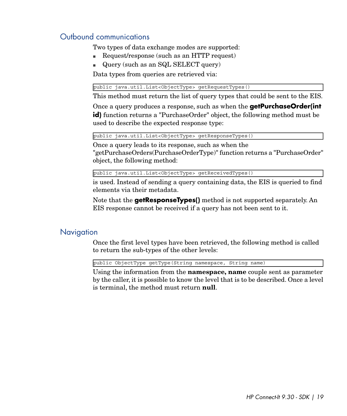### Outbound communications

Two types of data exchange modes are supported:

- <sup>n</sup> Request/response (such as an HTTP request)
- <sup>n</sup> Query (such as an SQL SELECT query)

Data types from queries are retrieved via:

public java.util.List<ObjectType> getRequestTypes()

This method must return the list of query types that could be sent to the EIS.

Once a query produces a response, such as when the **getPurchaseOrder(int id)** function returns a "PurchaseOrder" object, the following method must be used to describe the expected response type:

public java.util.List<ObjectType> getResponseTypes()

Once a query leads to its response, such as when the "getPurchaseOrders(PurchaseOrderType)" function returns a "PurchaseOrder" object, the following method:

public java.util.List<ObjectType> getReceivedTypes()

is used. Instead of sending a query containing data, the EIS is queried to find elements via their metadata.

Note that the **getResponseTypes()** method is not supported separately. An EIS response cannot be received if a query has not been sent to it.

#### **Navigation**

Once the first level types have been retrieved, the following method is called to return the sub-types of the other levels:

public ObjectType getType(String namespace, String name)

Using the information from the **namespace, name** couple sent as parameter by the caller, it is possible to know the level that is to be described. Once a level is terminal, the method must return **null**.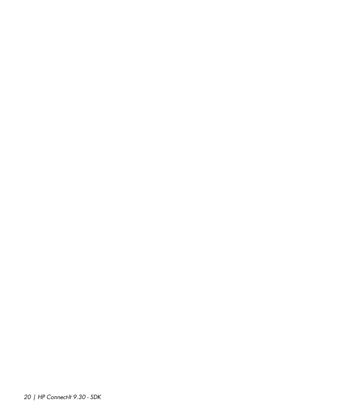*20 | HP Connect-It 9.30 - SDK*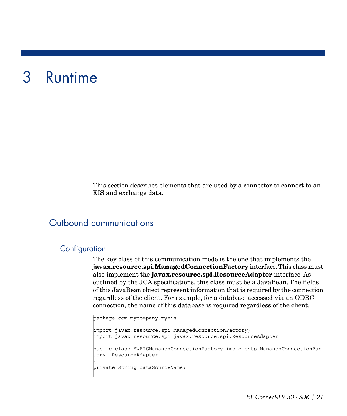# 3 Runtime

<span id="page-20-1"></span><span id="page-20-0"></span>This section describes elements that are used by a connector to connect to an EIS and exchange data.

## Outbound communications

#### **Configuration**

The key class of this communication mode is the one that implements the **javax.resource.spi.ManagedConnectionFactory** interface.This class must also implement the **javax.resource.spi.ResourceAdapter** interface. As outlined by the JCA specifications, this class must be a JavaBean. The fields of this JavaBean object represent information that is required by the connection regardless of the client. For example, for a database accessed via an ODBC connection, the name of this database is required regardless of the client.

```
package com.mycompany.myeis;
import javax.resource.spi.ManagedConnectionFactory;
import javax.resource.spi.javax.resource.spi.ResourceAdapter
public class MyEISManagedConnectionFactory implements ManagedConnectionFac
tory, ResourceAdapter
{
private String dataSourceName;
```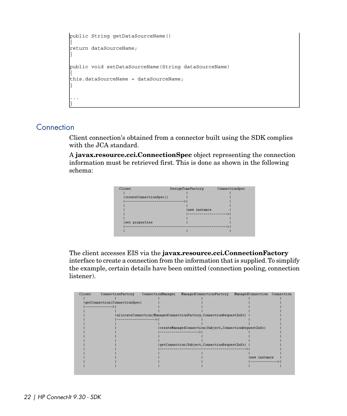```
public String getDataSourceName()
{
return dataSourceName;
}
public void setDataSourceName(String dataSourceName)
{
this.dataSourceName = dataSourceName;
}
...
}
```
#### **Connection**

Client connection's obtained from a connector built using the SDK complies with the JCA standard.

A **javax.resource.cci.ConnectionSpec** object representing the connection information must be retrieved first. This is done as shown in the following schema:



The client accesses EIS via the **javax.resource.cci.ConnectionFactory** interface to create a connection from the information that is supplied.To simplify the example, certain details have been omitted (connection pooling, connection listener).

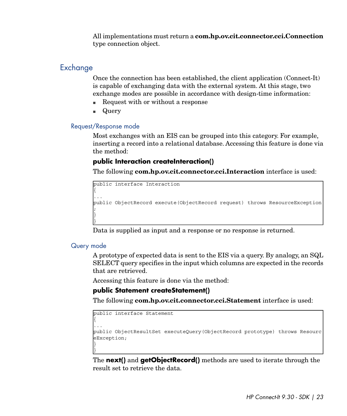All implementations must return a **com.hp.ov.cit.connector.cci.Connection** type connection object.

### Exchange

Once the connection has been established, the client application (Connect-It) is capable of exchanging data with the external system. At this stage, two exchange modes are possible in accordance with design-time information:

- <sup>n</sup> Request with or without a response
- <sup>n</sup> Query

#### Request/Response mode

Most exchanges with an EIS can be grouped into this category. For example, inserting a record into a relational database. Accessing this feature is done via the method:

#### **public Interaction createInteraction()**

The following **com.hp.ov.cit.connector.cci.Interaction** interface is used:

```
public interface Interaction
{
...
public ObjectRecord execute(ObjectRecord request) throws ResourceException
;
}
}
```
Data is supplied as input and a response or no response is returned.

#### Query mode

A prototype of expected data is sent to the EIS via a query. By analogy, an SQL SELECT query specifies in the input which columns are expected in the records that are retrieved.

Accessing this feature is done via the method:

#### **public Statement createStatement()**

The following **com.hp.ov.cit.connector.cci.Statement** interface is used:

```
public interface Statement
{
...
public ObjectResultSet executeQuery(ObjectRecord prototype) throws Resourc
eException;
}
}
```
The **next()** and **getObjectRecord()** methods are used to iterate through the result set to retrieve the data.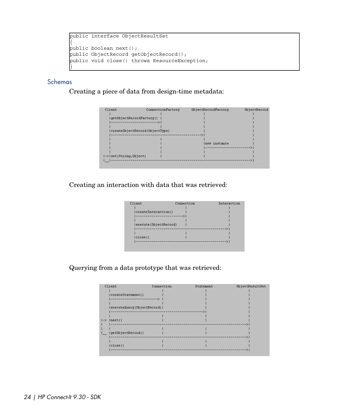```
public interface ObjectResultSet
{
public boolean next();
public ObjectRecord getObjectRecord();
public void close() throws ResourceException;
}
```
### Schemas

Creating a piece of data from design-time metadata:

| Client                 | ConnectionFactory               | ObjectRecordFactory   | ObjectRecord |
|------------------------|---------------------------------|-----------------------|--------------|
|                        |                                 |                       |              |
|                        | (qetObjectRecordFactory)        |                       |              |
|                        | ----------------                |                       |              |
|                        |                                 |                       |              |
|                        | (createObjectRecord(ObjectType) |                       |              |
|                        |                                 |                       |              |
|                        |                                 |                       |              |
|                        |                                 | Inew instance         |              |
|                        |                                 | --------------------- |              |
|                        |                                 |                       |              |
| -> set(String, Object) |                                 |                       |              |
|                        |                                 |                       |              |
|                        |                                 |                       |              |
|                        |                                 |                       |              |

Creating an interaction with data that was retrieved:

| Client.                | Connection | Interaction |
|------------------------|------------|-------------|
|                        |            |             |
| (createInteraction()   |            |             |
| ---------------------- |            |             |
|                        |            |             |
| (execute(ObjectRecord) |            |             |
|                        |            |             |
|                        |            |             |
| close()                |            |             |
|                        |            |             |
|                        |            |             |
|                        |            |             |

Querying from a data prototype that was retrieved:

|               | Client                                                                   | Connection | Statement | ObjectResultSet |
|---------------|--------------------------------------------------------------------------|------------|-----------|-----------------|
|               | (createStatement()<br>-----------------><br>  executeQuery(ObjectRecord) |            |           |                 |
| $\rightarrow$ | next()                                                                   |            |           |                 |
|               | (qetObjectRecord()<br> close()                                           |            |           | --------        |
|               |                                                                          |            |           |                 |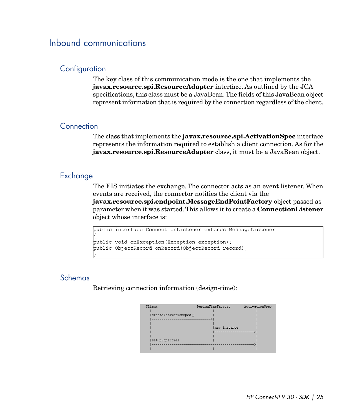# <span id="page-24-0"></span>Inbound communications

#### **Configuration**

The key class of this communication mode is the one that implements the **javax.resource.spi.ResourceAdapter** interface. As outlined by the JCA specifications, this class must be a JavaBean.The fields of this JavaBean object represent information that is required by the connection regardless of the client.

#### **Connection**

The class that implements the **javax.resource.spi.ActivationSpec** interface represents the information required to establish a client connection. As for the **javax.resource.spi.ResourceAdapter** class, it must be a JavaBean object.

#### Exchange

The EIS initiates the exchange. The connector acts as an event listener. When events are received, the connector notifies the client via the **javax.resource.spi.endpoint.MessageEndPointFactory** object passed as parameter when it was started. This allows it to create a **ConnectionListener** object whose interface is:

```
public interface ConnectionListener extends MessageListener
{
public void onException(Exception exception);
public ObjectRecord onRecord(ObjectRecord record);
}
```
#### Schemas

Retrieving connection information (design-time):

| DesignTimeFactory | ActivationSpec |
|-------------------|----------------|
|                   |                |
|                   |                |
|                   |                |
|                   |                |
| inew instance     |                |
|                   |                |
|                   |                |
|                   |                |
|                   | --------       |
|                   |                |
|                   |                |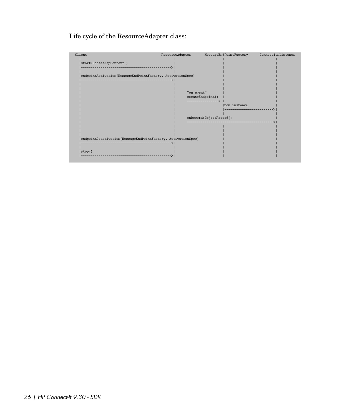Life cycle of the ResourceAdapter class:

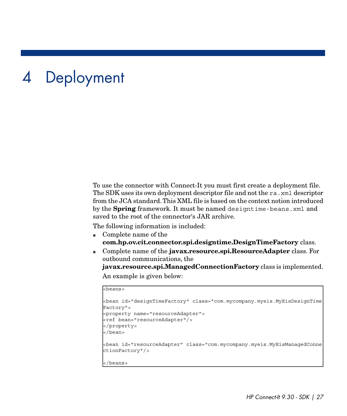# 4 Deployment

<span id="page-26-0"></span>To use the connector with Connect-It you must first create a deployment file. The SDK uses its own deployment descriptor file and not the ra.  $xml$  descriptor from the JCA standard.This XML file is based on the context notion introduced by the **Spring** framework. It must be named designtime-beans.xml and saved to the root of the connector's JAR archive.

The following information is included:

- <sup>n</sup> Complete name of the **com.hp.ov.cit.connector.spi.designtime.DesignTimeFactory** class.
- <sup>n</sup> Complete name of the **javax.resource.spi.ResourceAdapter** class. For outbound communications, the

**javax.resource.spi.ManagedConnectionFactory** class is implemented.

An example is given below:

<beans>

```
<bean id="designTimeFactory" class="com.mycompany.myeis.MyEisDesignTime
Factory">
<property name="resourceAdapter">
<ref bean="resourceAdapter"/>
</property>
</bean>
<bean id="resourceAdapter" class="com.mycompany.myeis.MyEisManagedConne
ctionFactory"/>
</beans>
```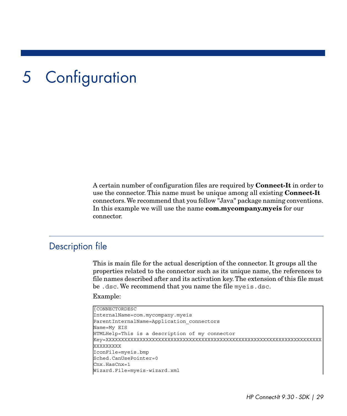# 5 Configuration

<span id="page-28-1"></span><span id="page-28-0"></span>A certain number of configuration files are required by **Connect-It** in order to use the connector. This name must be unique among all existing **Connect-It** connectors.We recommend that you follow "Java" package naming conventions. In this example we will use the name **com.mycompany.myeis** for our connector.

### Description file

This is main file for the actual description of the connector. It groups all the properties related to the connector such as its unique name, the references to file names described after and its activation key. The extension of this file must be .dsc. We recommend that you name the file myeis.dsc.

#### Example:

```
{CONNECTORDESC
InternalName=com.mycompany.myeis
ParentInternalName=Application_connectors
Name=My EIS
HTMLHelp=This is a description of my connector
Key=XXXXXXXXXXXXXXXXXXXXXXXXXXXXXXXXXXXXXXXXXXXXXXXXXXXXXXXXXXXXXXXXXXXXXX
XXXXXXXXX
IconFile=myeis.bmp
Sched.CanUsePointer=0
Cnx.HasCnx=1
Wizard.File=myeis-wizard.xml
```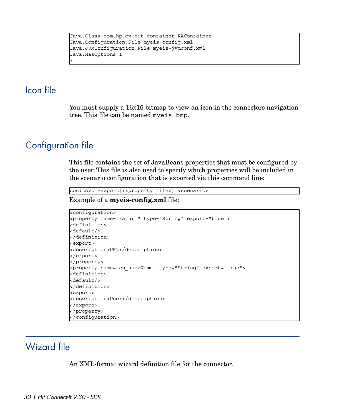```
Java.Class=com.hp.ov.cit.container.RAContainer
Java.Configuration.File=myeis-config.xml
Java.JVMConfiguration.File=myeis-jvmconf.xml
Java.HasOptions=1
}
```
# Icon file

<span id="page-29-1"></span>You must supply a  $16x16$  bitmap to view an icon in the connectors navigation tree. This file can be named myeis.bmp.

## Configuration file

This file contains the set of JavaBeans properties that must be configured by the user. This file is also used to specify which properties will be included in the scenario configuration that is exported via this command line:

conitsvc -export[:<property file>] <scenario>

```
Example of a myeis-config.xml file:
```

```
<configuration>
<property name="ra_url" type="String" export="true">
<definition>
<default/>
</definition>
<export>
<description>URL</description>
</export>
</property>
<property name="cs_userName" type="String" export="true">
<definition>
<default/>
</definition>
<export>
<description>User</description>
</export>
</property>
</configuration>
```
# <span id="page-29-2"></span>Wizard file

An XML-format wizard definition file for the connector.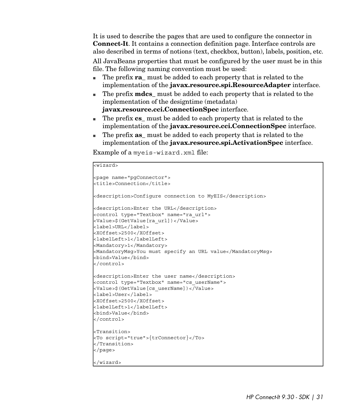It is used to describe the pages that are used to configure the connector in **Connect-It**. It contains a connection definition page. Interface controls are also described in terms of notions (text, checkbox, button), labels, position, etc.

All JavaBeans properties that must be configured by the user must be in this file. The following naming convention must be used:

- n The prefix **ra** must be added to each property that is related to the implementation of the **javax.resource.spi.ResourceAdapter** interface.
- n The prefix **mdcs** must be added to each property that is related to the implementation of the designtime (metadata) **javax.resource.cci.ConnectionSpec** interface.
- n The prefix **cs** must be added to each property that is related to the implementation of the **javax.resource.cci.ConnectionSpec** interface.
- <sup>n</sup> The prefix **as\_** must be added to each property that is related to the implementation of the **javax.resource.spi.ActivationSpec** interface.

Example of a myeis-wizard.xml file:

```
<wizard>
<page name="pgConnector">
<title>Connection</title>
<description>Configure connection to MyEIS</description>
<description>Enter the URL</description>
<control type="Textbox" name="ra_url">
<Value>$(GetValue[ra_url])</Value>
<label>URL</label>
<XOffset>2500</XOffset>
<labelLeft>1</labelLeft>
<Mandatory>1</Mandatory>
<MandatoryMsg>You must specify an URL value</MandatoryMsg>
<bind>Value</bind>
</control>
<description>Enter the user name</description>
<control type="Textbox" name="cs_userName">
<Value>$(GetValue[cs_userName])</Value>
<label>User</label>
<XOffset>2500</XOffset>
<labelLeft>1</labelLeft>
<bind>Value</bind>
</control>
<Transition>
<To script="true">{trConnector}</To>
</Transition>
</page>
</wizard>
```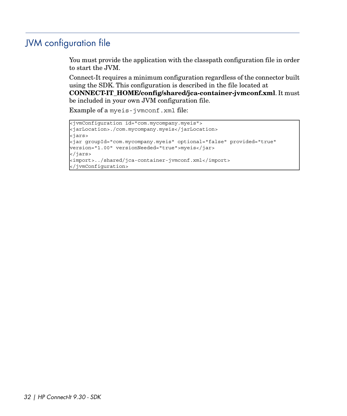# JVM configuration file

<span id="page-31-0"></span>You must provide the application with the classpath configuration file in order to start the JVM.

Connect-It requires a minimum configuration regardless of the connector built using the SDK. This configuration is described in the file located at

**CONNECT-IT\_HOME/config/shared/jca-container-jvmconf.xml**. It must be included in your own JVM configuration file.

Example of a myeis-jvmconf.xml file:

```
<jvmConfiguration id="com.mycompany.myeis">
<jarLocation>./com.mycompany.myeis</jarLocation>
<jars>
<jar groupId="com.mycompany.myeis" optional="false" provided="true"
version="1.00" versionNeeded="true">myeis</jar>
</jars>
<import>../shared/jca-container-jvmconf.xml</import>
</jvmConfiguration>
```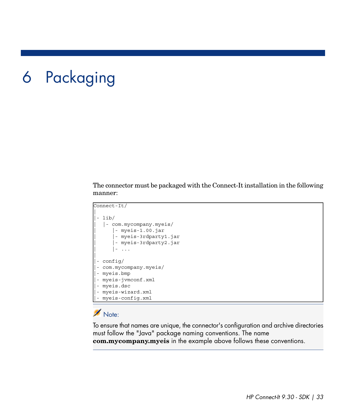# 6 Packaging

<span id="page-32-0"></span>The connector must be packaged with the Connect-It installation in the following manner:

```
Connect-It/
|
|- lib/
  | |- com.mycompany.myeis/
      | |- myeis-1.00.jar
      | |- myeis-3rdparty1.jar
      | |- myeis-3rdparty2.jar
      | - ...
|
|- config/
|- com.mycompany.myeis/
|- myeis.bmp
|- myeis-jvmconf.xml
|- myeis.dsc
|- myeis-wizard.xml
 - myeis-config.xml
```
## Note:

To ensure that names are unique, the connector's configuration and archive directories must follow the "Java" package naming conventions. The name **com.mycompany.myeis** in the example above follows these conventions.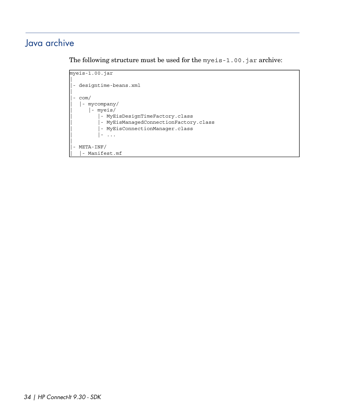# Java archive

<span id="page-33-0"></span>The following structure must be used for the myeis-1.00.jar archive:

```
myeis-1.00.jar
\mathsf{I}|- designtime-beans.xml
\mathsf{I}|- com/
   | |- mycompany/
       | |- myeis/
            - MyEisDesignTimeFactory.class
           |- MyEisManagedConnectionFactory.class
           |- MyEisConnectionManager.class
           |- ...
\mathsf{I}|- META-INF/
   | |- Manifest.mf
```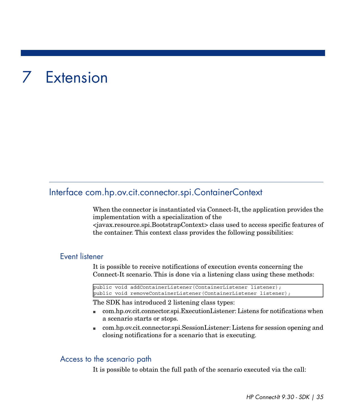# 7 Extension

## <span id="page-34-0"></span>Interface com.hp.ov.cit.connector.spi.ContainerContext

When the connector is instantiated via Connect-It, the application provides the implementation with a specialization of the <javax.resource.spi.BootstrapContext> class used to access specific features of the container. This context class provides the following possibilities:

#### Event listener

It is possible to receive notifications of execution events concerning the Connect-It scenario. This is done via a listening class using these methods:

public void addContainerListener(ContainerListener listener); public void removeContainerListener(ContainerListener listener);

The SDK has introduced 2 listening class types:

- <sup>n</sup> com.hp.ov.cit.connector.spi.ExecutionListener: Listens for notifications when a scenario starts or stops.
- n com.hp.ov.cit.connector.spi.SessionListener: Listens for session opening and closing notifications for a scenario that is executing.

#### Access to the scenario path

It is possible to obtain the full path of the scenario executed via the call: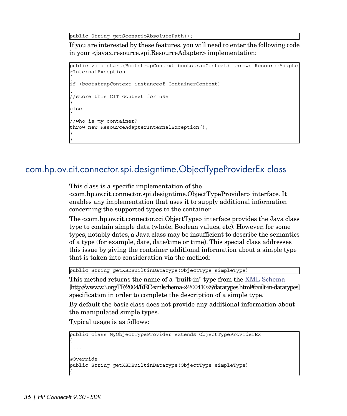public String getScenarioAbsolutePath();

If you are interested by these features, you will need to enter the following code in your <javax.resource.spi.ResourceAdapter> implementation:

public void start(BootstrapContext bootstrapContext) throws ResourceAdapte rInternalException { if (bootstrapContext instanceof ContainerContext) { //store this CIT context for use } else { //who is my container? throw new ResourceAdapterInternalException(); } }

## <span id="page-35-0"></span>com.hp.ov.cit.connector.spi.designtime.ObjectTypeProviderEx class

This class is a specific implementation of the

<com.hp.ov.cit.connector.spi.designtime.ObjectTypeProvider> interface. It enables any implementation that uses it to supply additional information concerning the supported types to the container.

The <com.hp.ov.cit.connector.cci.ObjectType> interface provides the Java class type to contain simple data (whole, Boolean values, etc). However, for some types, notably dates, a Java class may be insufficient to describe the semantics of a type (for example, date, date/time or time). This special class addresses this issue by giving the container additional information about a simple type that is taken into consideration via the method:

public String getXSDBuiltinDatatype(ObjectType simpleType)

This method returns the name of a "built-in" type from the [XML Schema](http://www.w3.org/TR/2004/REC-xmlschema-2-20041028/datatypes.html#built-in-datatypes) [http://www.w3.org/TR/2004/REC-xmlschema-2-20041028/datatypes.html#built-in-datatypes] specification in order to complete the description of a simple type.

By default the basic class does not provide any additional information about the manipulated simple types.

Typical usage is as follows:

```
public class MyObjectTypeProvider extends ObjectTypeProviderEx
{
@Override
public String getXSDBuiltinDatatype(ObjectType simpleType)
{
```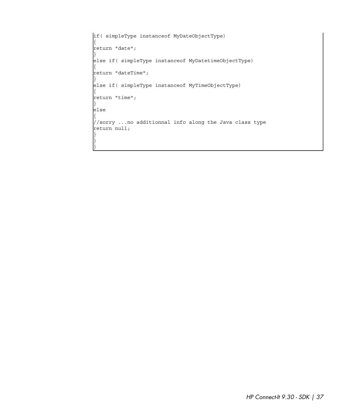```
if( simpleType instanceof MyDateObjectType)
{
return "date";
}
else if( simpleType instanceof MyDatetimeObjectType)
{
return "dateTime";
}
else if( simpleType instanceof MyTimeObjectType)
{
return "time";
}
else
{
//sorry ...no additionnal info along the Java class type
return null;
}
}
}
```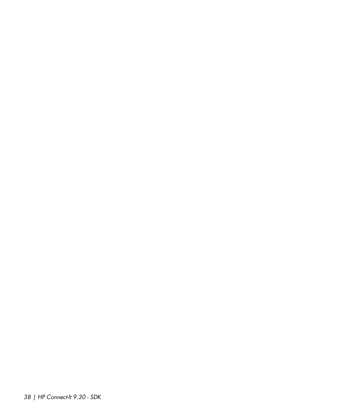*38 | HP Connect-It 9.30 - SDK*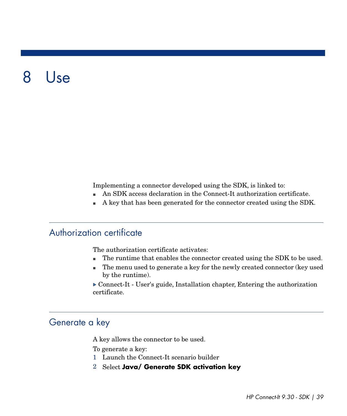# 8 Use

Implementing a connector developed using the SDK, is linked to:

- n SDK access declaration in the Connect-It authorization certificate.
- <sup>n</sup> A key that has been generated for the connector created using the SDK.

# Authorization certificate

The authorization certificate activates:

- <sup>n</sup> The runtime that enables the connector created using the SDK to be used.
- n The menu used to generate a key for the newly created connector (key used by the runtime).

 $\triangleright$  Connect-It - User's guide, Installation chapter, Entering the authorization certificate.

## Generate a key

A key allows the connector to be used.

To generate a key:

- 1 Launch the Connect-It scenario builder
- 2 Select **Java/ Generate SDK activation key**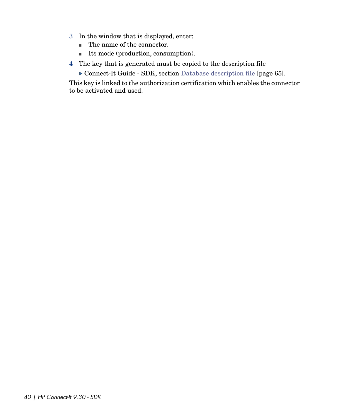- 3 In the window that is displayed, enter:
	- <sup>n</sup> The name of the connector.
	- <sup>n</sup> Its mode (production, consumption).
- 4 The key that is generated must be copied to the description file
	- Connect-It Guide SDK, section [Database description file](#page-64-0) [page 65].

This key is linked to the authorization certification which enables the connector to be activated and used.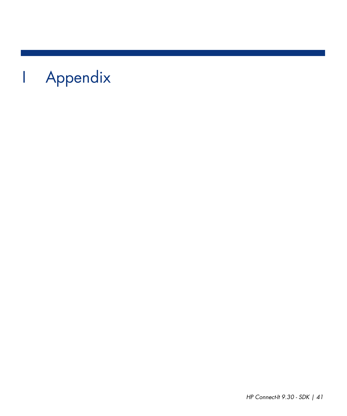# I Appendix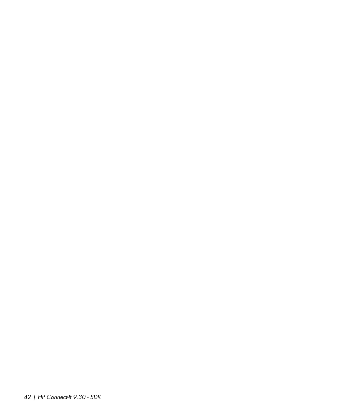*42 | HP Connect-It 9.30 - SDK*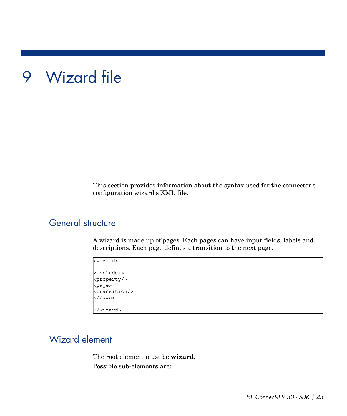# 9 Wizard file

This section provides information about the syntax used for the connector's configuration wizard's XML file.

# General structure

A wizard is made up of pages. Each pages can have input fields, labels and descriptions. Each page defines a transition to the next page.

```
<wizard>
<include/>
<property/>
<page>
<transition/>
</page>
</wizard>
```
# Wizard element

The root element must be **wizard**. Possible sub-elements are: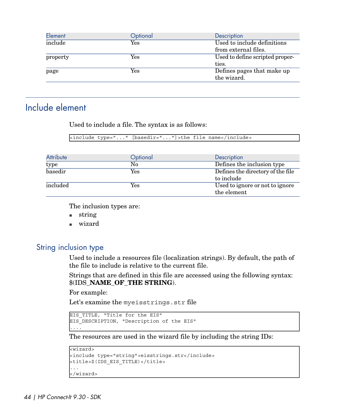| Element  | Optional | Description                     |
|----------|----------|---------------------------------|
| include  | Yes      | Used to include definitions     |
|          |          | from external files.            |
| property | Yes      | Used to define scripted proper- |
|          |          | ties.                           |
| page     | Yes      | Defines pages that make up      |
|          |          | the wizard.                     |

## Include element

Used to include a file. The syntax is as follows:

<include type="..." [basedir="..."]>the file name</include>

| Attribute | Optional | Description                       |
|-----------|----------|-----------------------------------|
| type      | No       | Defines the inclusion type        |
| basedir   | Yes      | Defines the directory of the file |
|           |          | to include                        |
| included  | Yes      | Used to ignore or not to ignore   |
|           |          | the element                       |

The inclusion types are:

- $\blacksquare$  string
- um wizard

#### String inclusion type

Used to include a resources file (localization strings). By default, the path of the file to include is relative to the current file.

Strings that are defined in this file are accessed using the following syntax: \$(IDS\_**NAME\_OF\_THE STRING**).

For example:

Let's examine the myeisstrings.str file

```
EIS TITLE, "Title for the EIS"
EIS DESCRIPTION, "Description of the EIS"
....
```
The resources are used in the wizard file by including the string IDs:

```
<wizard>
<include type="string">eisstrings.str</include>
<title>$(IDS_EIS_TITLE)</title>
...
</wizard>
```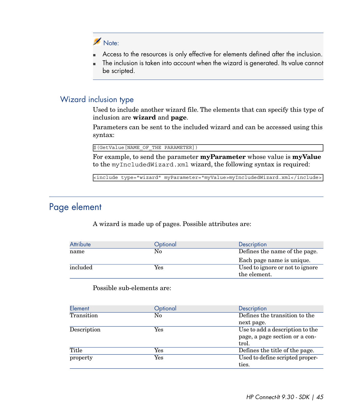## Note:

- Access to the resources is only effective for elements defined after the inclusion.
- The inclusion is taken into account when the wizard is generated. Its value cannot be scripted.

#### Wizard inclusion type

Used to include another wizard file. The elements that can specify this type of inclusion are **wizard** and **page**.

Parameters can be sent to the included wizard and can be accessed using this syntax:

\$(GetValue[NAME\_OF\_THE PARAMETER])

For example, to send the parameter **myParameter** whose value is **myValue** to the myIncludedWizard.xml wizard, the following syntax is required:

<include type="wizard" myParameter="myValue>myIncludedWizard.xml</include>

## Page element

A wizard is made up of pages. Possible attributes are:

| <b>Attribute</b> | Optional | Description                     |
|------------------|----------|---------------------------------|
| name             | No       | Defines the name of the page.   |
|                  |          | Each page name is unique.       |
| included         | Yes      | Used to ignore or not to ignore |
|                  |          | the element.                    |

Possible sub-elements are:

| <b>Element</b> | Optional             | Description                             |
|----------------|----------------------|-----------------------------------------|
| Transition     | No                   | Defines the transition to the           |
|                |                      | next page.                              |
| Description    | Yes                  | Use to add a description to the         |
|                |                      | page, a page section or a con-<br>trol. |
| Title          | Yes                  | Defines the title of the page.          |
| property       | $\operatorname{Yes}$ | Used to define scripted proper-         |
|                |                      | ties.                                   |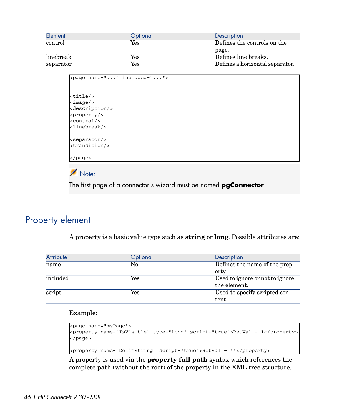| Element   | Optional | <b>Description</b>              |
|-----------|----------|---------------------------------|
| control   | Yes      | Defines the controls on the     |
|           |          | page.                           |
| linebreak | Yes      | Defines line breaks.            |
| separator | Yes      | Defines a horizontal separator. |

```
<page name="..." included="...">
<title/>
<image/>
<description/>
<property/>
<control/>
<linebreak/>
<separator/>
<transition/>
</page>
```
## Note:

The first page of a connector's wizard must be named **pgConnector**.

## Property element

A property is a basic value type such as **string** or **long**. Possible attributes are:

| <b>Attribute</b> | Optional | Description                     |
|------------------|----------|---------------------------------|
| name             | No       | Defines the name of the prop-   |
|                  |          | erty.                           |
| included         | Yes      | Used to ignore or not to ignore |
|                  |          | the element.                    |
| script           | Yes      | Used to specify scripted con-   |
|                  |          | tent.                           |

#### Example:

```
<page name="myPage">
<property name="IsVisible" type="Long" script="true">RetVal = 1</property>
</page>
```
<property name="DelimString" script="true">RetVal = ""</property>

A property is used via the **property full path** syntax which references the complete path (without the root) of the property in the XML tree structure.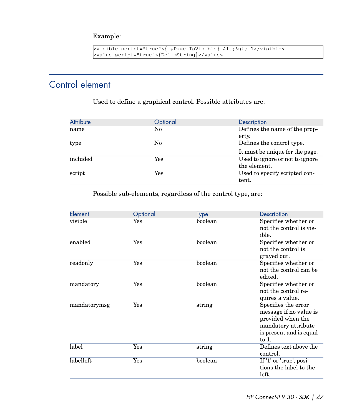Example:

```
<visible script="true">{myPage.IsVisible} &lt; &gt; 1</visible>
<value script="true">{DelimString}</value>
```
# Control element

Used to define a graphical control. Possible attributes are:

| <b>Attribute</b> | Optional | Description                     |
|------------------|----------|---------------------------------|
| name             | No       | Defines the name of the prop-   |
|                  |          | erty.                           |
| type             | No       | Defines the control type.       |
|                  |          | It must be unique for the page. |
| included         | Yes      | Used to ignore or not to ignore |
|                  |          | the element.                    |
| script           | Yes      | Used to specify scripted con-   |
|                  |          | tent.                           |

Possible sub-elements, regardless of the control type, are:

| Element      | Optional             | Type    | Description                                                                                                                      |
|--------------|----------------------|---------|----------------------------------------------------------------------------------------------------------------------------------|
| visible      | $\operatorname{Yes}$ | boolean | Specifies whether or<br>not the control is vis-<br>ible.                                                                         |
| enabled      | Yes                  | boolean | Specifies whether or<br>not the control is<br>grayed out.                                                                        |
| readonly     | Yes                  | boolean | Specifies whether or<br>not the control can be<br>edited.                                                                        |
| mandatory    | Yes                  | boolean | Specifies whether or<br>not the control re-<br>quires a value.                                                                   |
| mandatorymsg | $\operatorname{Yes}$ | string  | Specifies the error<br>message if no value is<br>provided when the<br>mandatory attribute<br>is present and is equal<br>to $1$ . |
| label        | $\operatorname{Yes}$ | string  | Defines text above the<br>control.                                                                                               |
| labelleft    | Yes                  | boolean | If '1' or 'true', posi-<br>tions the label to the<br>left.                                                                       |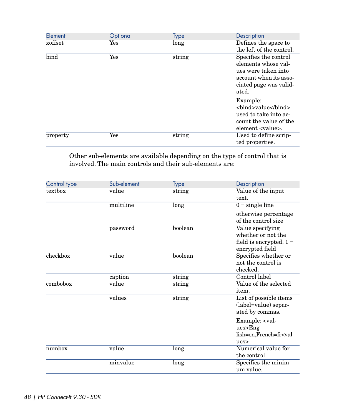| Element  | Optional             | Type   | Description                                                                                                                      |
|----------|----------------------|--------|----------------------------------------------------------------------------------------------------------------------------------|
| xoffset  | $\operatorname{Yes}$ | long   | Defines the space to                                                                                                             |
|          |                      |        | the left of the control.                                                                                                         |
| bind     | Yes                  | string | Specifies the control<br>elements whose val-<br>ues were taken into<br>account when its asso-<br>ciated page was valid-<br>ated. |
|          |                      |        | Example:<br><br>shid>value<br>used to take into ac-<br>count the value of the<br>                                                |
| property | Yes                  | string | Used to define scrip-<br>ted properties.                                                                                         |

Other sub-elements are available depending on the type of control that is involved. The main controls and their sub-elements are:

| Control type | Sub-element | Type    | Description                                                                                                   |
|--------------|-------------|---------|---------------------------------------------------------------------------------------------------------------|
| textbox      | value       | string  | Value of the input<br>text.                                                                                   |
|              | multiline   | long    | $\overline{0}$ = single line                                                                                  |
|              |             |         | otherwise percentage<br>of the control size                                                                   |
|              | password    | boolean | Value specifying<br>whether or not the<br>field is encrypted. $1 =$<br>encrypted field                        |
| checkbox     | value       | boolean | Specifies whether or<br>not the control is<br>checked.                                                        |
|              | caption     | string  | Control label                                                                                                 |
| combobox     | value       | string  | Value of the selected<br>item.                                                                                |
|              | values      | string  | List of possible items<br>(label=value) separ-<br>ated by commas.                                             |
|              |             |         | Example: <val-<br><math>ues</math><math>E</math>ng-<br/>lish=en,French=fr<val-<br>ues&gt;</val-<br></val-<br> |
| numbox       | value       | long    | Numerical value for<br>the control.                                                                           |
|              | minvalue    | long    | Specifies the minim-<br>um value.                                                                             |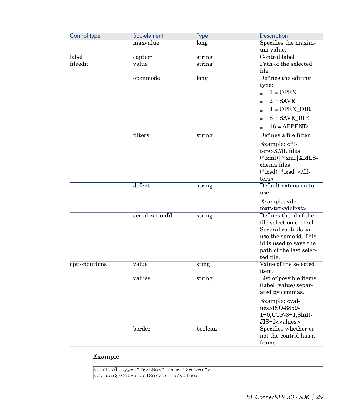| Control type  | Sub-element     | Type    | Description                                        |
|---------------|-----------------|---------|----------------------------------------------------|
|               | maxvalue        | long    | Specifies the maxim-                               |
|               |                 |         | um value.                                          |
| label         | caption         | string  | Control label                                      |
| fileedit      | value           | string  | Path of the selected                               |
|               |                 |         | file.                                              |
|               | openmode        | long    | Defines the editing<br>type:                       |
|               |                 |         | $1 =$ OPEN                                         |
|               |                 |         | $2 =$ SAVE                                         |
|               |                 |         | $4 =$ OPEN_DIR                                     |
|               |                 |         |                                                    |
|               |                 |         | $8 =$ SAVE_DIR                                     |
|               |                 |         | $16 = APPEND$                                      |
|               | filters         | string  | Defines a file filter.                             |
|               |                 |         | Example: <fil-< td=""></fil-<>                     |
|               |                 |         | ters>XML files                                     |
|               |                 |         | $(*.xml)$   $*.xml$   XMLS-<br>chema files         |
|               |                 |         | $(*xd)$   *.xsd                                    |
|               |                 |         | ters>                                              |
|               | defext          | string  | Default extension to                               |
|               |                 |         | use.                                               |
|               |                 |         | Example: <de-< td=""></de-<>                       |
|               |                 |         | fext>txt                                           |
|               | serializationId | string  | Defines the id of the                              |
|               |                 |         | file selection control.                            |
|               |                 |         | Several controls can<br>use the same id. This      |
|               |                 |         | id is used to save the                             |
|               |                 |         | path of the last selec-                            |
|               |                 |         | ted file.                                          |
| optionbuttons | value           | sting   | Value of the selected                              |
|               |                 |         | item.                                              |
|               | values          | string  | List of possible items                             |
|               |                 |         | (label=value) separ-                               |
|               |                 |         | ated by commas.                                    |
|               |                 |         | Example: <val-< td=""></val-<>                     |
|               |                 |         | ues>ISO-8859-                                      |
|               |                 |         | $1=0$ , UTF-8=1, Shift-<br>JIS=2 <values></values> |
|               | border          | boolean | Specifies whether or                               |
|               |                 |         | not the control has a                              |
|               |                 |         | frame.                                             |
|               |                 |         |                                                    |

#### Example:

```
<control type="TextBox" name="Server">
<value>$(GetValue[Server])</value>
```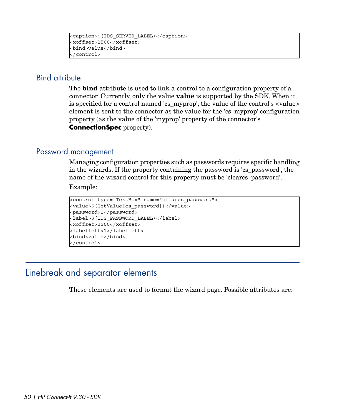```
<caption>$(IDS_SERVER_LABEL)</caption>
<xoffset>2500</xoffset>
<bind>value</bind>
</control>
```
### Bind attribute

The **bind** attribute is used to link a control to a configuration property of a connector. Currently, only the value **value** is supported by the SDK. When it is specified for a control named 'cs myprop', the value of the control's  $\langle$ value $\rangle$ element is sent to the connector as the value for the 'cs\_myprop' configuration property (as the value of the 'myprop' property of the connector's **ConnectionSpec** property).

#### Password management

Managing configuration properties such as passwords requires specific handling in the wizards. If the property containing the password is 'cs\_password', the name of the wizard control for this property must be 'clearcs\_password'.

Example:

```
<control type="TextBox" name="clearcs_password">
<value>$(GetValue[cs_password])</value>
<password>1</password>
<label>$(IDS_PASSWORD_LABEL)</label>
<xoffset>2500</xoffset>
<labelleft>1</labelleft>
<bind>value</bind>
</control>
```
## Linebreak and separator elements

These elements are used to format the wizard page. Possible attributes are: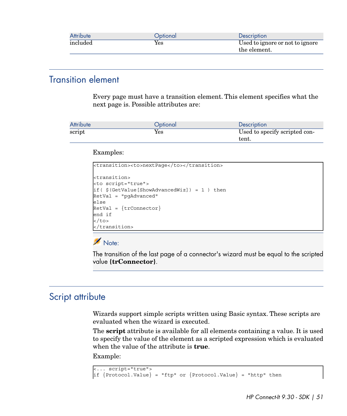| <b>Attribute</b> | Optional | <b>Description</b>              |
|------------------|----------|---------------------------------|
| included         | Yes      | Used to ignore or not to ignore |
|                  |          | the element.                    |

## Transition element

Every page must have a transition element. This element specifies what the next page is. Possible attributes are:

| <b>Attribute</b> | Optional             | <b>Description</b>            |
|------------------|----------------------|-------------------------------|
| script           | $\operatorname{Yes}$ | Used to specify scripted con- |
|                  |                      | tent.                         |

#### Examples:

```
<transition><to>nextPage</to></transition>
<transition>
<to script="true">
if( \t$(GetValue[ShowAdvancedWiz]) = 1 ) thenRetVal = "pgAdvanced"
else
RetVal = {trConnector}end if
</to>
</transition>
```
## Note:

The transition of the last page of a connector's wizard must be equal to the scripted value **{trConnector}**.

## Script attribute

Wizards support simple scripts written using Basic syntax. These scripts are evaluated when the wizard is executed.

The **script** attribute is available for all elements containing a value. It is used to specify the value of the element as a scripted expression which is evaluated when the value of the attribute is **true**.

Example:

```
<... script="true">
if \{Protocol.Value\} = "ftp" or \{Protocol.Value\} = "http" then
```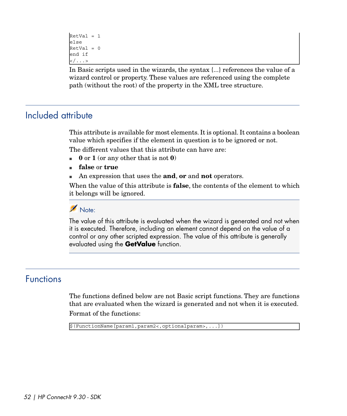```
RetVal = 1else
RetVal = 0end if
</...>
```
In Basic scripts used in the wizards, the syntax {...} references the value of a wizard control or property. These values are referenced using the complete path (without the root) of the property in the XML tree structure.

## Included attribute

This attribute is available for most elements. It is optional. It contains a boolean value which specifies if the element in question is to be ignored or not.

The different values that this attribute can have are:

- <sup>n</sup> **0** or **1** (or any other that is not **0**)
- <sup>n</sup> **false** or **true**
- <sup>n</sup> An expression that uses the **and**, **or** and **not** operators.

When the value of this attribute is **false**, the contents of the element to which it belongs will be ignored.

#### Note:

The value of this attribute is evaluated when the wizard is generated and not when it is executed. Therefore, including an element cannot depend on the value of a control or any other scripted expression. The value of this attribute is generally evaluated using the **GetValue** function.

## Functions

The functions defined below are not Basic script functions. They are functions that are evaluated when the wizard is generated and not when it is executed. Format of the functions:

\$(FunctionName[param1,param2<,optionalparam>,...])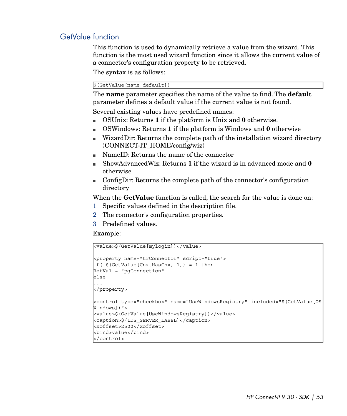### GetValue function

This function is used to dynamically retrieve a value from the wizard. This function is the most used wizard function since it allows the current value of a connector's configuration property to be retrieved.

The syntax is as follows:

\$(GetValue[name,default])

The **name** parameter specifies the name of the value to find. The **default** parameter defines a default value if the current value is not found.

Several existing values have predefined names:

- <sup>n</sup> OSUnix: Returns **1** if the platform is Unix and **0** otherwise.
- <sup>n</sup> OSWindows: Returns **1** if the platform is Windows and **0** otherwise
- <sup>n</sup> WizardDir: Returns the complete path of the installation wizard directory (CONNECT-IT\_HOME/config/wiz)
- <sup>n</sup> NameID: Returns the name of the connector
- <sup>n</sup> ShowAdvancedWiz: Returns **1** if the wizard is in advanced mode and **0** otherwise
- <sup>n</sup> ConfigDir: Returns the complete path of the connector's configuration directory

When the **GetValue** function is called, the search for the value is done on:

- 1 Specific values defined in the description file.
- 2 The connector's configuration properties.
- 3 Predefined values.

Example:

```
<value>$(GetValue[mylogin])</value>
<property name="trConnector" script="true">
if(\$(GetValue[Cnx.HasCnx, 1]) = 1 then
RetVal = "pgConnection"
else
...
</property>
<control type="checkbox" name="UseWindowsRegistry" included="$(GetValue[OS
Windows])">
<value>$(GetValue[UseWindowsRegistry])</value>
<caption>$(IDS_SERVER_LABEL)</caption>
<xoffset>2500</xoffset>
<bind>value</bind>
</control>
```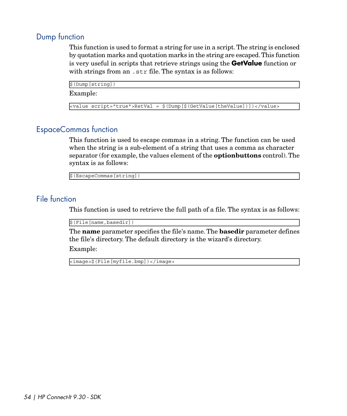### Dump function

This function is used to format a string for use in a script.The string is enclosed by quotation marks and quotation marks in the string are escaped.This function is very useful in scripts that retrieve strings using the **GetValue** function or with strings from an . str file. The syntax is as follows:

\$(Dump[string])

Example:

<value script="true">RetVal = \$(Dump[\$(GetValue[theValue])])</value>

### EspaceCommas function

This function is used to escape commas in a string. The function can be used when the string is a sub-element of a string that uses a comma as character separator (for example, the values element of the **optionbuttons** control). The syntax is as follows:

\$(EscapeCommas[string])

### File function

This function is used to retrieve the full path of a file. The syntax is as follows:

\$(File[name,basedir])

The **name** parameter specifies the file's name. The **basedir** parameter defines the file's directory. The default directory is the wizard's directory.

Example:

<image>\$(File[myfile.bmp])</image>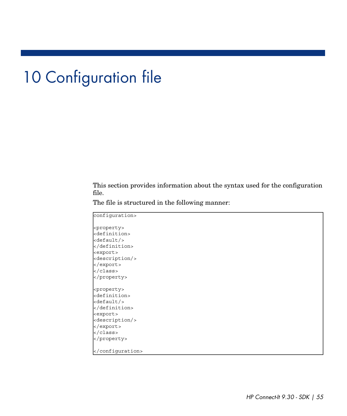# 10 Configuration file

This section provides information about the syntax used for the configuration file.

The file is structured in the following manner:

```
configuration>
<property>
<definition>
<default/>
</definition>
<export>
<description/>
</export>
</class>
</property>
<property>
<definition>
<default/>
</definition>
<export>
<description/>
</export>
</class>
</property>
</configuration>
```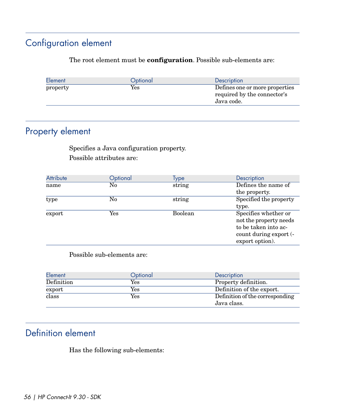# Configuration element

The root element must be **configuration**. Possible sub-elements are:

| <b>Element</b> | Optional: | <b>Description</b>                                                          |
|----------------|-----------|-----------------------------------------------------------------------------|
| property       | Yes       | Defines one or more properties<br>required by the connector's<br>Java code. |

# Property element

Specifies a Java configuration property. Possible attributes are:

| <b>Attribute</b> | Optional | Type    | Description                                                            |
|------------------|----------|---------|------------------------------------------------------------------------|
| name             | No       | string  | Defines the name of                                                    |
|                  |          |         | the property.                                                          |
| type             | No       | string  | Specified the property                                                 |
|                  |          |         | type.                                                                  |
| export           | Yes      | Boolean | Specifies whether or<br>not the property needs<br>to be taken into ac- |
|                  |          |         | count during export (-<br>export option).                              |
|                  |          |         |                                                                        |

Possible sub-elements are:

| <b>Element</b>            | Optional | Description                     |  |
|---------------------------|----------|---------------------------------|--|
| Definition                | Yes      | Property definition.            |  |
| export                    | Yes      | Definition of the export.       |  |
| $\overline{\text{class}}$ | Yes      | Definition of the corresponding |  |
|                           |          | Java class.                     |  |

# Definition element

Has the following sub-elements: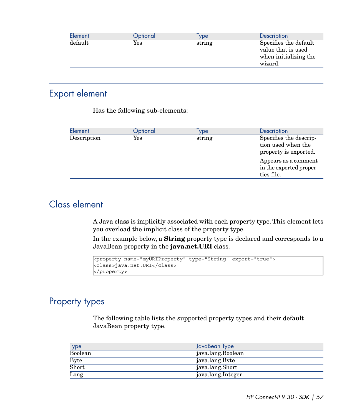| Element | Optional | ype    | Description                                                                     |
|---------|----------|--------|---------------------------------------------------------------------------------|
| default | Yes      | string | Specifies the default<br>value that is used<br>when initializing the<br>wizard. |
|         |          |        |                                                                                 |

## Export element

Has the following sub-elements:

| Element     | Optional | <b>lype</b> | Description                                                                                                                            |
|-------------|----------|-------------|----------------------------------------------------------------------------------------------------------------------------------------|
| Description | Yes      | string      | Specifies the descrip-<br>tion used when the<br>property is exported.<br>Appears as a comment<br>in the exported proper-<br>ties file. |
|             |          |             |                                                                                                                                        |

# Class element

A Java class is implicitly associated with each property type. This element lets you overload the implicit class of the property type.

In the example below, a **String** property type is declared and corresponds to a JavaBean property in the **java.net.URI** class.

```
<property name="myURIProperty" type="String" export="true">
<class>java.net.URI</class>
</property>
```
## Property types

The following table lists the supported property types and their default JavaBean property type.

| Type             | JavaBean Type     |
|------------------|-------------------|
| Boolean          | java.lang.Boolean |
| <b>Byte</b>      | java.lang.Byte    |
| Short            | java.lang.Short   |
| L <sub>ong</sub> | java.lang.Integer |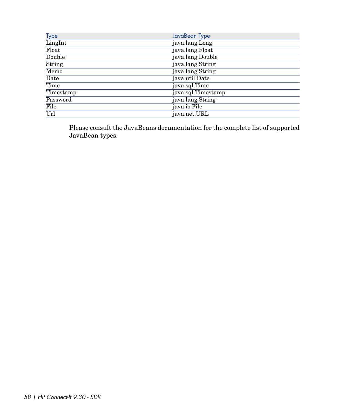| Type      | JavaBean Type      |  |
|-----------|--------------------|--|
| LingInt   | java.lang.Long     |  |
| Float     | java.lang.Float    |  |
| Double    | java.lang.Double   |  |
| String    | java.lang.String   |  |
| Memo      | java.lang.String   |  |
| Date      | java.util.Date     |  |
| Time      | java.sql.Time      |  |
| Timestamp | java.sql.Timestamp |  |
| Password  | java.lang.String   |  |
| File      | java.io.File       |  |
| Url       | java.net.URL       |  |

Please consult the JavaBeans documentation for the complete list of supported JavaBean types.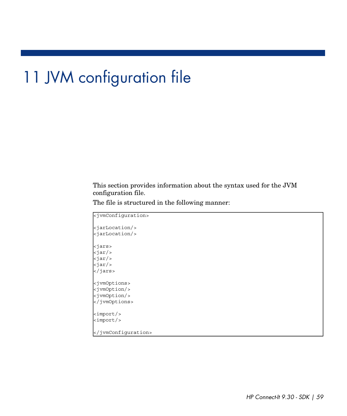# 11 JVM configuration file

This section provides information about the syntax used for the JVM configuration file.

The file is structured in the following manner:

```
<jvmConfiguration>
<jarLocation/>
<jarLocation/>
<jars>
<jar/>
<jar/>
<jar/>
</jars>
<jvmOptions>
<jvmOption/>
<jvmOption/>
</jvmOptions>
<import/>
<import/>
</jvmConfiguration>
```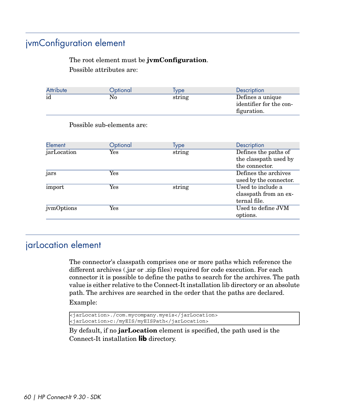# jvmConfiguration element

#### The root element must be **jvmConfiguration**.

Possible attributes are:

| <b>Attribute</b> | Optional | <b>Ivpe</b> | <b>Description</b>                                         |
|------------------|----------|-------------|------------------------------------------------------------|
| id               | N0       | string      | Defines a unique<br>identifier for the con-<br>figuration. |

Possible sub-elements are:

| Element     | Optional             | Type   | Description            |
|-------------|----------------------|--------|------------------------|
| jarLocation | Yes                  | string | Defines the paths of   |
|             |                      |        | the classpath used by  |
|             |                      |        | the connector.         |
| jars        | $\operatorname{Yes}$ |        | Defines the archives   |
|             |                      |        | used by the connector. |
| import      | Yes                  | string | Used to include a      |
|             |                      |        | classpath from an ex-  |
|             |                      |        | ternal file.           |
| jymOptions  | $\operatorname{Yes}$ |        | Used to define JVM     |
|             |                      |        | options.               |
|             |                      |        |                        |

### jarLocation element

The connector's classpath comprises one or more paths which reference the different archives (.jar or .zip files) required for code execution. For each connector it is possible to define the paths to search for the archives. The path value is either relative to the Connect-It installation lib directory or an absolute path. The archives are searched in the order that the paths are declared. Example:

<jarLocation>./com.mycompany.myeis</jarLocation> <jarLocation>c:/myEIS/myEISPath</jarLocation>

By default, if no **jarLocation** element is specified, the path used is the Connect-It installation **lib** directory.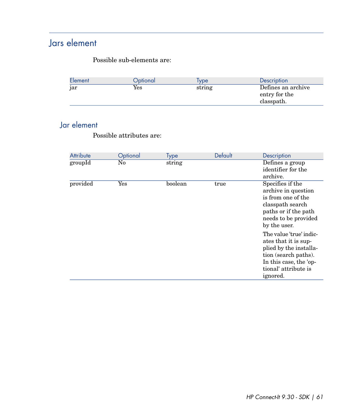# Jars element

#### Possible sub-elements are:

| Element | Dptional             | <b>vpe</b> | <b>Description</b>                                |
|---------|----------------------|------------|---------------------------------------------------|
| jar     | $\operatorname{Yes}$ | string     | Defines an archive<br>entry for the<br>classpath. |

### Jar element

Possible attributes are:

| <b>Attribute</b> | Optional | Type    | Default | Description                                                                                                                                                     |
|------------------|----------|---------|---------|-----------------------------------------------------------------------------------------------------------------------------------------------------------------|
| groupId          | No       | string  |         | Defines a group<br>identifier for the<br>archive.                                                                                                               |
| provided         | Yes      | boolean | true    | Specifies if the<br>archive in question<br>is from one of the<br>classpath search<br>paths or if the path<br>needs to be provided<br>by the user.               |
|                  |          |         |         | The value 'true' indic-<br>ates that it is sup-<br>plied by the installa-<br>tion (search paths).<br>In this case, the 'op-<br>tional' attribute is<br>ignored. |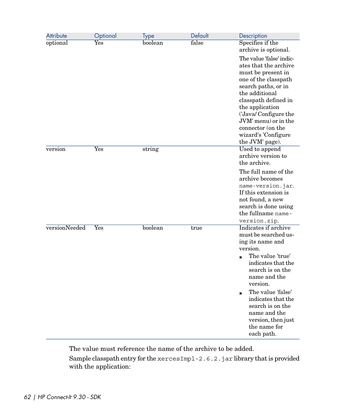| <b>Attribute</b> | Optional                  | Type    | Default | Description                                                                                                                                                                                                                                                                                                                      |
|------------------|---------------------------|---------|---------|----------------------------------------------------------------------------------------------------------------------------------------------------------------------------------------------------------------------------------------------------------------------------------------------------------------------------------|
| optional         | Yes                       | boolean | false   | Specifies if the<br>archive is optional.                                                                                                                                                                                                                                                                                         |
|                  |                           |         |         | The value 'false' indic-<br>ates that the archive<br>must be present in<br>one of the classpath<br>search paths, or in<br>the additional<br>classpath defined in<br>the application<br>('Java/Configure the<br>JVM' menu) or in the<br>connector (on the<br>wizard's 'Configure<br>the JVM' page).                               |
| version          | $\overline{\mathrm{Yes}}$ | string  |         | Used to append<br>archive version to<br>the archive.                                                                                                                                                                                                                                                                             |
|                  |                           |         |         | The full name of the<br>archive becomes<br>name-version.jar.<br>If this extension is<br>not found, a new<br>search is done using<br>the fullname name-<br>version.zip.                                                                                                                                                           |
| versionNeeded    | Yes                       | boolean | true    | Indicates if archive<br>must be searched us-<br>ing its name and<br>version.<br>The value 'true'<br>$\blacksquare$<br>indicates that the<br>search is on the<br>name and the<br>version.<br>The value 'false'<br>٠<br>indicates that the<br>search is on the<br>name and the<br>version, then just<br>the name for<br>each path. |

The value must reference the name of the archive to be added.

Sample classpath entry for the xercesImpl-2.6.2.jar library that is provided with the application: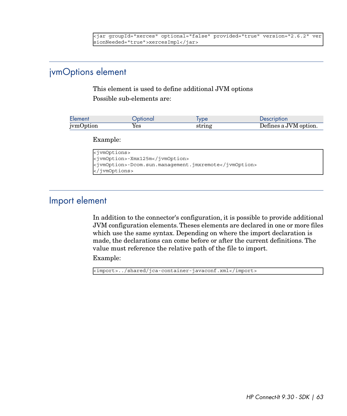```
<jar groupId="xerces" optional="false" provided="true" version="2.6.2" ver
sionNeeded="true">xercesImpl</jar>
```
## jvmOptions element

This element is used to define additional JVM options

Possible sub-elements are:

| Element   |     | DЕ | <i>escription</i>     |
|-----------|-----|----|-----------------------|
| jvmOption | res |    | Defines a JVM option. |

#### Example:

| <jvmoptions></jvmoptions>                             |  |
|-------------------------------------------------------|--|
| <jvmoption>-Xmx125m</jvmoption>                       |  |
| <jvmoption>-Dcom.sun.management.jmxremote</jvmoption> |  |
| k/ivmOptions>                                         |  |

## Import element

In addition to the connector's configuration, it is possible to provide additional JVM configuration elements. Theses elements are declared in one or more files which use the same syntax. Depending on where the import declaration is made, the declarations can come before or after the current definitions. The value must reference the relative path of the file to import.

Example:

<import>../shared/jca-container-javaconf.xml</import>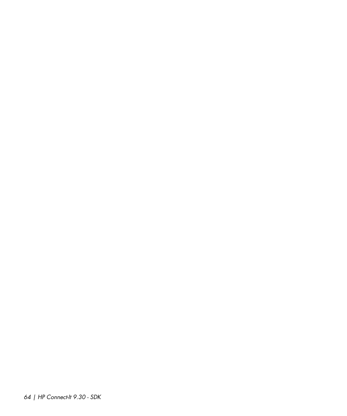*64 | HP Connect-It 9.30 - SDK*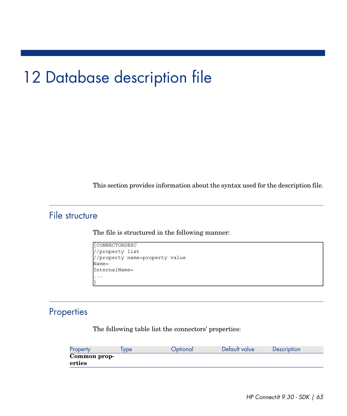# 12 Database description file

<span id="page-64-0"></span>This section provides information about the syntax used for the description file.

# File structure

The file is structured in the following manner:

```
{CONNECTORDESC
//property list
//property name=property value
Name=
InternalName=
...
}
```
## **Properties**

The following table list the connectors' properties:

| Property     | <b>ype</b> | <b>Optional</b> | Default value | <b>Description</b> |
|--------------|------------|-----------------|---------------|--------------------|
| Common prop- |            |                 |               |                    |
| erties       |            |                 |               |                    |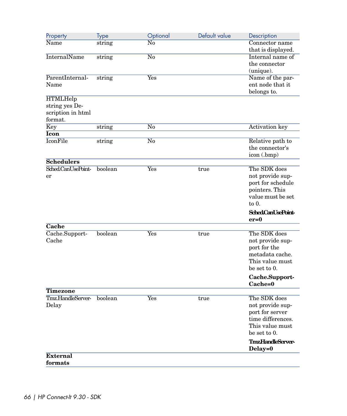| Property            | Type    | Optional                  | Default value | Description             |
|---------------------|---------|---------------------------|---------------|-------------------------|
| Name                | string  | No                        |               | Connector name          |
|                     |         |                           |               | that is displayed.      |
| <b>InternalName</b> | string  | No                        |               | Internal name of        |
|                     |         |                           |               | the connector           |
|                     |         |                           |               | (unique).               |
| ParentInternal-     | string  | Yes                       |               | Name of the par-        |
| Name                |         |                           |               | ent node that it        |
| <b>HTMLHelp</b>     |         |                           |               | belongs to.             |
| string yes De-      |         |                           |               |                         |
| scription in html   |         |                           |               |                         |
| format.             |         |                           |               |                         |
| Key                 | string  | No                        |               | <b>Activation</b> key   |
| Icon                |         |                           |               |                         |
| <b>IconFile</b>     | string  | $\overline{\text{No}}$    |               | Relative path to        |
|                     |         |                           |               | the connector's         |
|                     |         |                           |               | icon (.bmp)             |
| <b>Schedulers</b>   |         |                           |               |                         |
| Sched.CanUsePoint-  | boolean | Yes                       | true          | The SDK does            |
| er                  |         |                           |               | not provide sup-        |
|                     |         |                           |               | port for schedule       |
|                     |         |                           |               | pointers. This          |
|                     |         |                           |               | value must be set       |
|                     |         |                           |               | to $0.$                 |
|                     |         |                           |               | Sched Can UsePoint-     |
|                     |         |                           |               | $er = 0$                |
| Cache               |         |                           |               |                         |
| Cache.Support-      | boolean | Yes                       | true          | The SDK does            |
| Cache               |         |                           |               | not provide sup-        |
|                     |         |                           |               | port for the            |
|                     |         |                           |               | metadata cache.         |
|                     |         |                           |               | This value must         |
|                     |         |                           |               | be set to 0.            |
|                     |         |                           |               | Cache.Support-          |
|                     |         |                           |               | Cache=0                 |
| <b>Timezone</b>     |         |                           |               |                         |
| Tmz.HandleServer-   | boolean | $\overline{\mathrm{Yes}}$ | true          | The SDK does            |
| Delay               |         |                           |               | not provide sup-        |
|                     |         |                           |               | port for server         |
|                     |         |                           |               | time differences.       |
|                     |         |                           |               | This value must         |
|                     |         |                           |               | be set to 0.            |
|                     |         |                           |               | <b>TmzHandleServer-</b> |
|                     |         |                           |               | Delay=0                 |
| External            |         |                           |               |                         |
| formats             |         |                           |               |                         |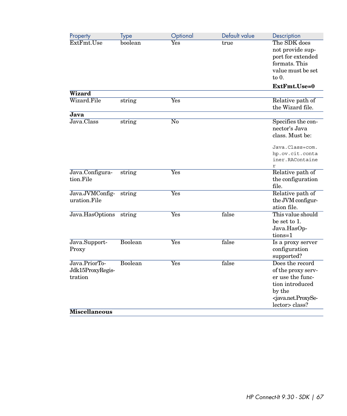| Property                                     | <b>Type</b> | Optional                  | Default value | Description                                                                                                                                              |
|----------------------------------------------|-------------|---------------------------|---------------|----------------------------------------------------------------------------------------------------------------------------------------------------------|
| ExtFmt.Use                                   | boolean     | $\overline{\mathrm{Yes}}$ | true          | The SDK does<br>not provide sup-<br>port for extended<br>formats. This<br>value must be set<br>to $0$ .                                                  |
|                                              |             |                           |               | ExtFmt.Use=0                                                                                                                                             |
| <b>Wizard</b>                                |             |                           |               |                                                                                                                                                          |
| Wizard.File                                  | string      | $\overline{\mathrm{Yes}}$ |               | Relative path of<br>the Wizard file.                                                                                                                     |
| Java                                         |             |                           |               |                                                                                                                                                          |
| Java.Class                                   | string      | $\overline{\text{No}}$    |               | Specifies the con-<br>nector's Java<br>class. Must be:<br>Java.Class=com.                                                                                |
|                                              |             |                           |               | hp.ov.cit.conta<br>iner.RAContaine<br>r                                                                                                                  |
| Java.Configura-<br>tion.File                 | string      | Yes                       |               | Relative path of<br>the configuration<br>file.                                                                                                           |
| Java.JVMConfig-<br>uration.File              | string      | $\overline{\mathrm{Yes}}$ |               | Relative path of<br>the JVM configur-<br>ation file.                                                                                                     |
| Java.HasOptions                              | string      | Yes                       | false         | This value should<br>be set to 1.<br>Java.HasOp-<br>tions=1                                                                                              |
| Java.Support-<br>Proxy                       | Boolean     | Yes                       | false         | Is a proxy server<br>configuration<br>supported?                                                                                                         |
| Java.PriorTo-<br>Jdk15ProxyRegis-<br>tration | Boolean     | $\overline{\mathrm{Yes}}$ | false         | Does the record<br>of the proxy serv-<br>er use the func-<br>tion introduced<br>by the<br><java.net.proxyse-<br>lector&gt; class?</java.net.proxyse-<br> |
| <b>Miscellaneous</b>                         |             |                           |               |                                                                                                                                                          |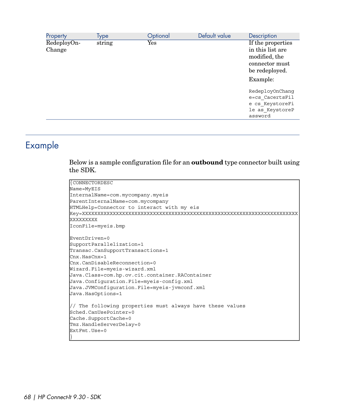| Property              | Type   | Optional | Default value | Description                                                                         |
|-----------------------|--------|----------|---------------|-------------------------------------------------------------------------------------|
| RedeployOn-<br>Change | string | Yes      |               | If the properties<br>in this list are<br>modified, the                              |
|                       |        |          |               | connector must<br>be redeployed.<br>Example:                                        |
|                       |        |          |               | RedeployOnChanq<br>e=cs CacertsFil<br>e cs KeystoreFi<br>le as KeystoreP<br>assword |

## Example

Below is a sample configuration file for an **outbound** type connector built using the SDK.

{CONNECTORDESC Name=MyEIS InternalName=com.mycompany.myeis ParentInternalName=com.mycompany HTMLHelp=Connector to interact with my eis Key=XXXXXXXXXXXXXXXXXXXXXXXXXXXXXXXXXXXXXXXXXXXXXXXXXXXXXXXXXXXXXXXXXXXXXX XXXXXXXXX IconFile=myeis.bmp EventDriven=0 SupportParallelization=1 Transac.CanSupportTransactions=1 Cnx.HasCnx=1 Cnx.CanDisableReconnection=0 Wizard.File=myeis-wizard.xml Java.Class=com.hp.ov.cit.container.RAContainer Java.Configuration.File=myeis-config.xml Java.JVMConfiguration.File=myeis-jvmconf.xml Java.HasOptions=1 // The following properties must always have these values Sched.CanUsePointer=0 Cache.SupportCache=0 Tmz.HandleServerDelay=0 ExtFmt.Use=0 }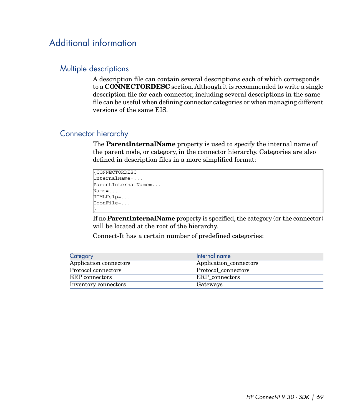# Additional information

#### Multiple descriptions

A description file can contain several descriptions each of which corresponds to a **CONNECTORDESC** section.Although it is recommended to write a single description file for each connector, including several descriptions in the same file can be useful when defining connector categories or when managing different versions of the same EIS.

### Connector hierarchy

The **ParentInternalName** property is used to specify the internal name of the parent node, or category, in the connector hierarchy. Categories are also defined in description files in a more simplified format:

```
{CONNECTORDESC
InternalName=...
ParentInternalName=...
Name=...
HTMLHelp=...
IconFile=...
}
```
If no **ParentInternalName** property is specified, the category (or the connector) will be located at the root of the hierarchy.

Connect-It has a certain number of predefined categories:

| Category               | Internal name          |
|------------------------|------------------------|
| Application connectors | Application_connectors |
| Protocol connectors    | Protocol connectors    |
| ERP connectors         | ERP connectors         |
| Inventory connectors   | Gateways               |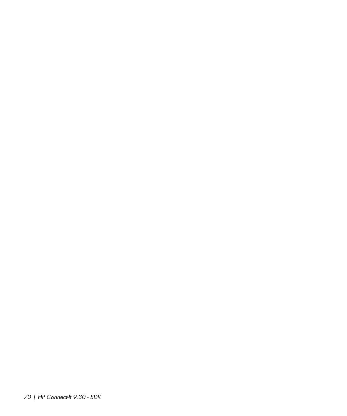*70 | HP Connect-It 9.30 - SDK*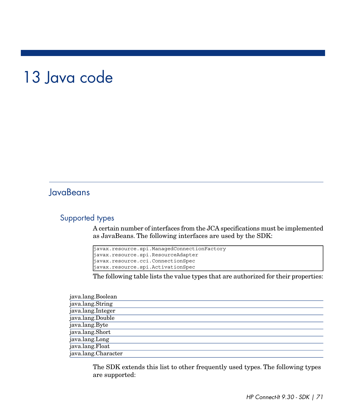# 13 Java code

## **JavaBeans**

### Supported types

A certain number of interfaces from the JCA specifications must be implemented as JavaBeans. The following interfaces are used by the SDK:

```
javax.resource.spi.ManagedConnectionFactory
javax.resource.spi.ResourceAdapter
javax.resource.cci.ConnectionSpec
javax.resource.spi.ActivationSpec
```
The following table lists the value types that are authorized for their properties:

| java.lang.Boolean   |
|---------------------|
| java.lang.String    |
| java.lang.Integer   |
| java.lang.Double    |
| java.lang.Byte      |
| java.lang.Short     |
| java.lang.Long      |
| java.lang.Float     |
| java.lang.Character |

The SDK extends this list to other frequently used types. The following types are supported: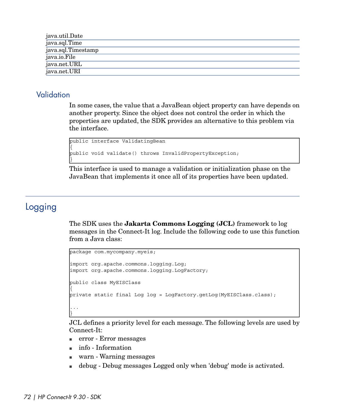| java.util.Date     |
|--------------------|
| java.sql.Time      |
| java.sql.Timestamp |
| java.io.File       |
| java.net.URL       |
| java.net.URI       |

## **Validation**

In some cases, the value that a JavaBean object property can have depends on another property. Since the object does not control the order in which the properties are updated, the SDK provides an alternative to this problem via the interface.

```
public interface ValidatingBean
{
public void validate() throws InvalidPropertyException;
}
```
This interface is used to manage a validation or initialization phase on the JavaBean that implements it once all of its properties have been updated.

# Logging

The SDK uses the **Jakarta Commons Logging (JCL)** framework to log messages in the Connect-It log. Include the following code to use this function from a Java class:

```
package com.mycompany.myeis;
import org.apache.commons.logging.Log;
import org.apache.commons.logging.LogFactory;
public class MyEISClass
{
private static final Log log = LogFactory.getLog(MyEISClass.class);
...
}
```
JCL defines a priority level for each message. The following levels are used by Connect-It:

- **n** error Error messages
- n info Information
- warn Warning messages
- <sup>n</sup> debug Debug messages Logged only when 'debug' mode is activated.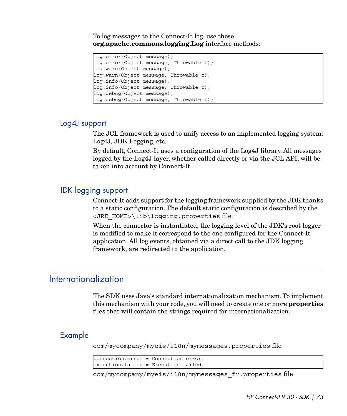To log messages to the Connect-It log, use these **org.apache.commons.logging.Log** interface methods:

```
log.error(Object message);
log.error(Object message, Throwable t);
log.warn(Object message);
log.warn(Object message, Throwable t);
log.info(Object message);
log.info(Object message, Throwable t);
log.debug(Object message);
log.debug(Object message, Throwable t);
```
## Log4J support

The JCL framework is used to unify access to an implemented logging system: Log4J, JDK Logging, etc.

By default, Connect-It uses a configuration of the Log4J library. All messages logged by the Log4J layer, whether called directly or via the JCL API, will be taken into account by Connect-It.

## JDK logging support

Connect-It adds support for the logging framework supplied by the JDK thanks to a static configuration. The default static configuration is described by the <JRE\_HOME>\lib\logging.properties file.

When the connector is instantiated, the logging level of the JDK's root logger is modified to make it correspond to the one configured for the Connect-It application. All log events, obtained via a direct call to the JDK logging framework, are redirected to the application.

## Internationalization

The SDK uses Java's standard internationalization mechanism. To implement this mechanism with your code, you will need to create one or more **properties** files that will contain the strings required for internationalization.

## Example

com/mycompany/myeis/i18n/mymessages.properties file

connection.error = Connection error. execution.failed = Execution failed.

com/mycompany/myeis/i18n/mymessages\_fr.properties file